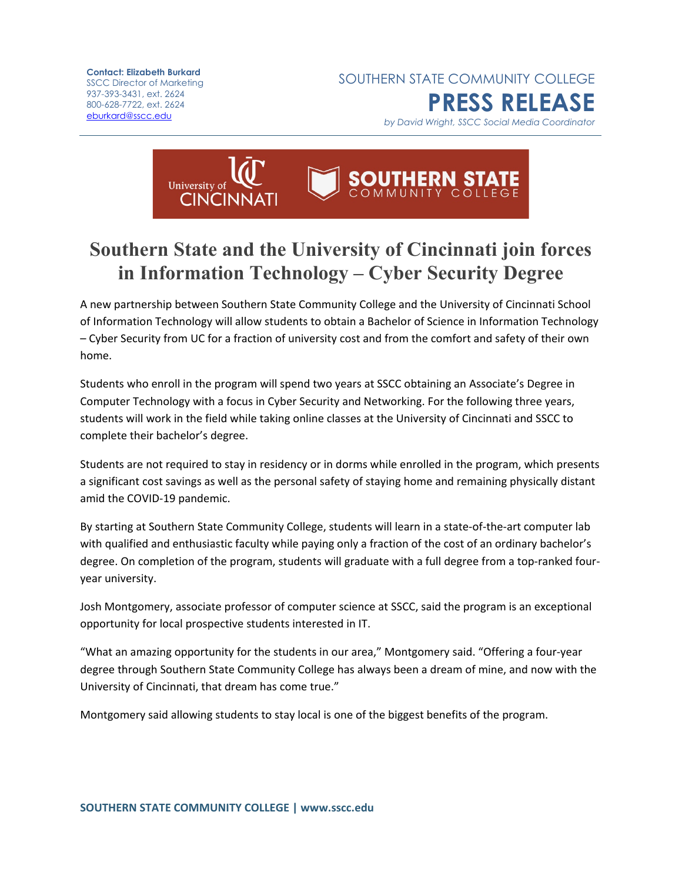**Contact: Elizabeth Burkard** SSCC Director of Marketing 937-393-3431, ext. 2624 800-628-7722, ext. 2624 [eburkard@sscc.edu](mailto:eburkard@sscc.edu)

SOUTHERN STATE COMMUNITY COLLEGE **PRESS RELEASE**

*by David Wright, SSCC Social Media Coordinator*



## **Southern State and the University of Cincinnati join forces in Information Technology – Cyber Security Degree**

A new partnership between Southern State Community College and the University of Cincinnati School of Information Technology will allow students to obtain a Bachelor of Science in Information Technology – Cyber Security from UC for a fraction of university cost and from the comfort and safety of their own home.

Students who enroll in the program will spend two years at SSCC obtaining an Associate's Degree in Computer Technology with a focus in Cyber Security and Networking. For the following three years, students will work in the field while taking online classes at the University of Cincinnati and SSCC to complete their bachelor's degree.

Students are not required to stay in residency or in dorms while enrolled in the program, which presents a significant cost savings as well as the personal safety of staying home and remaining physically distant amid the COVID-19 pandemic.

By starting at Southern State Community College, students will learn in a state-of-the-art computer lab with qualified and enthusiastic faculty while paying only a fraction of the cost of an ordinary bachelor's degree. On completion of the program, students will graduate with a full degree from a top-ranked fouryear university.

Josh Montgomery, associate professor of computer science at SSCC, said the program is an exceptional opportunity for local prospective students interested in IT.

"What an amazing opportunity for the students in our area," Montgomery said. "Offering a four-year degree through Southern State Community College has always been a dream of mine, and now with the University of Cincinnati, that dream has come true."

Montgomery said allowing students to stay local is one of the biggest benefits of the program.